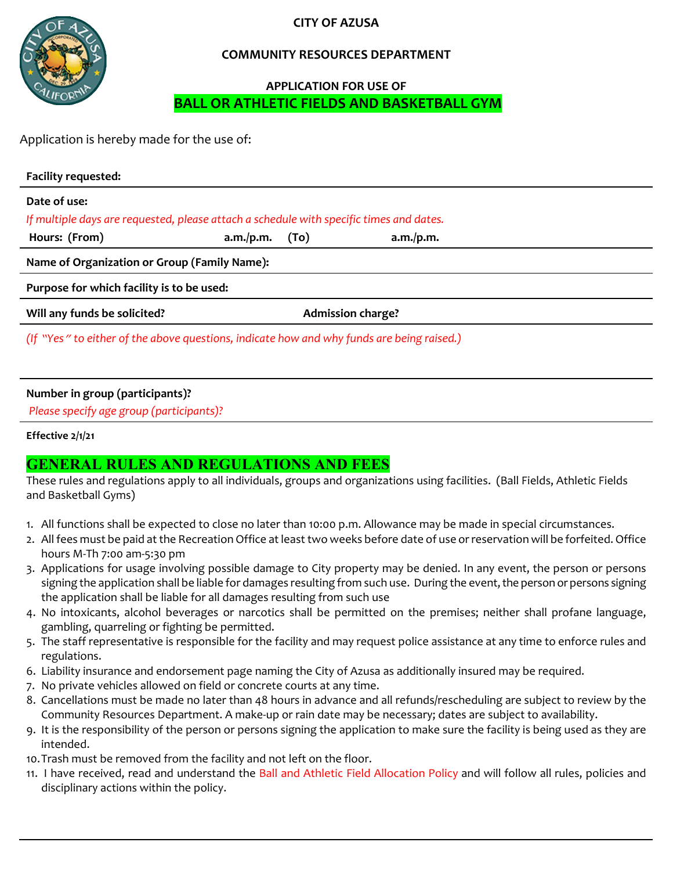**CITY OF AZUSA**



#### **COMMUNITY RESOURCES DEPARTMENT**

### **APPLICATION FOR USE OF BALL OR ATHLETIC FIELDS AND BASKETBALL GYM**

Application is hereby made for the use of:

| <b>Facility requested:</b>                                                                |           |      |                          |  |
|-------------------------------------------------------------------------------------------|-----------|------|--------------------------|--|
| Date of use:                                                                              |           |      |                          |  |
| If multiple days are requested, please attach a schedule with specific times and dates.   |           |      |                          |  |
| Hours: (From)                                                                             | a.m./p.m. | (To) | a.m./p.m.                |  |
| Name of Organization or Group (Family Name):                                              |           |      |                          |  |
| Purpose for which facility is to be used:                                                 |           |      |                          |  |
| Will any funds be solicited?                                                              |           |      | <b>Admission charge?</b> |  |
| (If "Yes" to either of the above questions, indicate how and why funds are being raised.) |           |      |                          |  |
|                                                                                           |           |      |                          |  |

#### **Number in group (participants)?**

*Please specify age group (participants)?*

#### **Effective 2/1/21**

## **GENERAL RULES AND REGULATIONS AND FEES**

These rules and regulations apply to all individuals, groups and organizations using facilities. (Ball Fields, Athletic Fields and Basketball Gyms)

- 1. All functions shall be expected to close no later than 10:00 p.m. Allowance may be made in special circumstances.
- 2. All fees must be paid at the Recreation Office at least two weeks before date of use or reservation will be forfeited. Office hours M-Th 7:00 am-5:30 pm
- 3. Applications for usage involving possible damage to City property may be denied. In any event, the person or persons signing the application shall be liable for damages resulting from such use. During the event, the person or persons signing the application shall be liable for all damages resulting from such use
- 4. No intoxicants, alcohol beverages or narcotics shall be permitted on the premises; neither shall profane language, gambling, quarreling or fighting be permitted.
- 5. The staff representative is responsible for the facility and may request police assistance at any time to enforce rules and regulations.
- 6. Liability insurance and endorsement page naming the City of Azusa as additionally insured may be required.
- 7. No private vehicles allowed on field or concrete courts at any time.
- 8. Cancellations must be made no later than 48 hours in advance and all refunds/rescheduling are subject to review by the Community Resources Department. A make-up or rain date may be necessary; dates are subject to availability.
- 9. It is the responsibility of the person or persons signing the application to make sure the facility is being used as they are intended.
- 10.Trash must be removed from the facility and not left on the floor.
- 11. I have received, read and understand the Ball and Athletic Field Allocation Policy and will follow all rules, policies and disciplinary actions within the policy.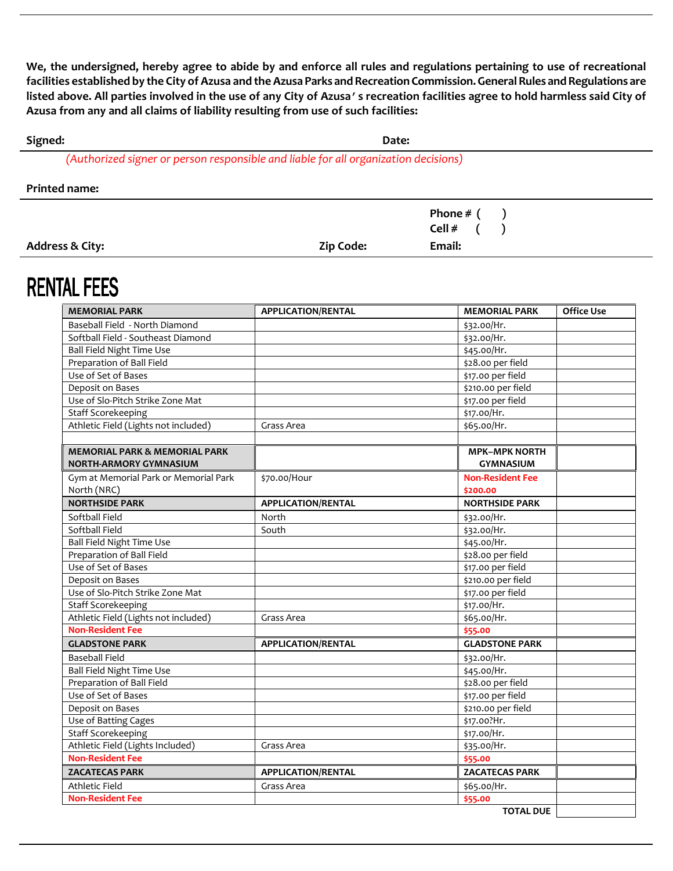**We, the undersigned, hereby agree to abide by and enforce all rules and regulations pertaining to use of recreational**  facilities established by the City of Azusa and the Azusa Parks and Recreation Commission. General Rules and Regulations are **listed above. All parties involved in the use of any City of Azusa's recreation facilities agree to hold harmless said City of Azusa from any and all claims of liability resulting from use of such facilities:**

| Signed: | Date:                                                                               |
|---------|-------------------------------------------------------------------------------------|
|         | (Authorized signer or person responsible and liable for all organization decisions) |

| <b>Printed name:</b> |  |
|----------------------|--|
|----------------------|--|

|                 |                  | Phone $# ($ |
|-----------------|------------------|-------------|
|                 |                  | Cell #      |
| Address & City: | <b>Zip Code:</b> | Email:      |

# **RENTAL FEES**

| <b>MEMORIAL PARK</b>                     | <b>APPLICATION/RENTAL</b> | <b>MEMORIAL PARK</b>    | <b>Office Use</b> |
|------------------------------------------|---------------------------|-------------------------|-------------------|
| Baseball Field - North Diamond           |                           | \$32.00/Hr.             |                   |
| Softball Field - Southeast Diamond       |                           | \$32.00/Hr.             |                   |
| <b>Ball Field Night Time Use</b>         |                           | \$45.00/Hr.             |                   |
| Preparation of Ball Field                |                           | \$28.00 per field       |                   |
| Use of Set of Bases                      |                           | \$17.00 per field       |                   |
| Deposit on Bases                         |                           | \$210.00 per field      |                   |
| Use of Slo-Pitch Strike Zone Mat         |                           | \$17.00 per field       |                   |
| <b>Staff Scorekeeping</b>                |                           | \$17.00/Hr.             |                   |
| Athletic Field (Lights not included)     | Grass Area                | \$65.00/Hr.             |                   |
|                                          |                           |                         |                   |
| <b>MEMORIAL PARK &amp; MEMORIAL PARK</b> |                           | <b>MPK-MPK NORTH</b>    |                   |
| <b>NORTH-ARMORY GYMNASIUM</b>            |                           | <b>GYMNASIUM</b>        |                   |
| Gym at Memorial Park or Memorial Park    | \$70.00/Hour              | <b>Non-Resident Fee</b> |                   |
| North (NRC)                              |                           | \$200.00                |                   |
| <b>NORTHSIDE PARK</b>                    | <b>APPLICATION/RENTAL</b> | <b>NORTHSIDE PARK</b>   |                   |
| Softball Field                           | North                     | \$32.00/Hr.             |                   |
| Softball Field                           | South                     | \$32.00/Hr.             |                   |
| Ball Field Night Time Use                |                           | \$45.00/Hr.             |                   |
| Preparation of Ball Field                |                           | \$28.00 per field       |                   |
| Use of Set of Bases                      |                           | \$17.00 per field       |                   |
| Deposit on Bases                         |                           | \$210.00 per field      |                   |
| Use of Slo-Pitch Strike Zone Mat         |                           | \$17.00 per field       |                   |
| <b>Staff Scorekeeping</b>                |                           | \$17.00/Hr.             |                   |
| Athletic Field (Lights not included)     | Grass Area                | \$65.00/Hr.             |                   |
| <b>Non-Resident Fee</b>                  |                           | \$55.00                 |                   |
| <b>GLADSTONE PARK</b>                    | <b>APPLICATION/RENTAL</b> | <b>GLADSTONE PARK</b>   |                   |
| <b>Baseball Field</b>                    |                           | \$32.00/Hr.             |                   |
| Ball Field Night Time Use                |                           | \$45.00/Hr.             |                   |
| Preparation of Ball Field                |                           | \$28.00 per field       |                   |
| Use of Set of Bases                      |                           | \$17.00 per field       |                   |
| Deposit on Bases                         |                           | \$210.00 per field      |                   |
| Use of Batting Cages                     |                           | \$17.00?Hr.             |                   |
| <b>Staff Scorekeeping</b>                |                           | \$17.00/Hr.             |                   |
| Athletic Field (Lights Included)         | Grass Area                | \$35.00/Hr.             |                   |
| <b>Non-Resident Fee</b>                  |                           | \$55.00                 |                   |
| <b>ZACATECAS PARK</b>                    | <b>APPLICATION/RENTAL</b> | <b>ZACATECAS PARK</b>   |                   |
| Athletic Field                           | Grass Area                | \$65.00/Hr.             |                   |
| <b>Non-Resident Fee</b>                  |                           | \$55.00                 |                   |
|                                          |                           | <b>TOTAL DUE</b>        |                   |